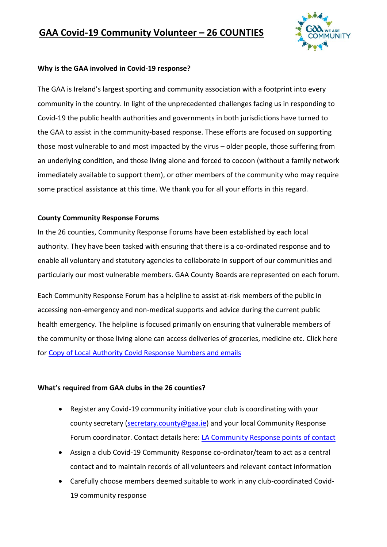## **GAA Covid-19 Community Volunteer – 26 COUNTIES**



### **Why is the GAA involved in Covid-19 response?**

The GAA is Ireland's largest sporting and community association with a footprint into every community in the country. In light of the unprecedented challenges facing us in responding to Covid-19 the public health authorities and governments in both jurisdictions have turned to the GAA to assist in the community-based response. These efforts are focused on supporting those most vulnerable to and most impacted by the virus – older people, those suffering from an underlying condition, and those living alone and forced to cocoon (without a family network immediately available to support them), or other members of the community who may require some practical assistance at this time. We thank you for all your efforts in this regard.

#### **County Community Response Forums**

In the 26 counties, Community Response Forums have been established by each local authority. They have been tasked with ensuring that there is a co-ordinated response and to enable all voluntary and statutory agencies to collaborate in support of our communities and particularly our most vulnerable members. GAA County Boards are represented on each forum.

Each Community Response Forum has a helpline to assist at-risk members of the public in accessing non-emergency and non-medical supports and advice during the current public health emergency. The helpline is focused primarily on ensuring that vulnerable members of the community or those living alone can access deliveries of groceries, medicine etc. Click here fo[r Copy of Local Authority Covid Response Numbers and emails](https://crokepark-my.sharepoint.com/personal/colin_regan_gaa_ie/Documents/COVID-19/Copy%20of%20Local%20Authority%20Covid%20Response%20Numbers%20and%20emails.xlsx?web=1)

## **What's required from GAA clubs in the 26 counties?**

- Register any Covid-19 community initiative your club is coordinating with your county secretary [\(secretary.county@gaa.ie\)](mailto:secretary.county@gaa.ie) and your local Community Response Forum coordinator. Contact details here: [LA Community Response points of contact](https://crokepark-my.sharepoint.com/personal/colin_regan_gaa_ie/Documents/COVID-19/LA%20Community%20Response%20points%20of%20contact.xlsx?web=1)
- Assign a club Covid-19 Community Response co-ordinator/team to act as a central contact and to maintain records of all volunteers and relevant contact information
- Carefully choose members deemed suitable to work in any club-coordinated Covid-19 community response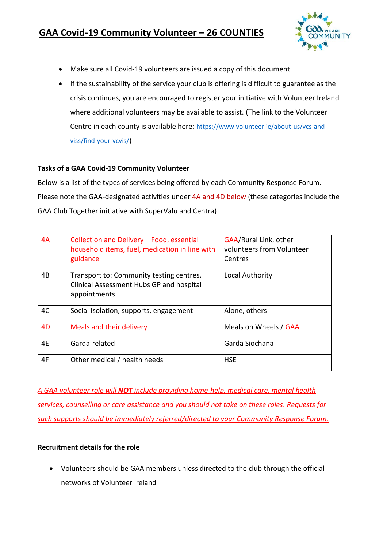# **GAA Covid-19 Community Volunteer – 26 COUNTIES**



- Make sure all Covid-19 volunteers are issued a copy of this document
- If the sustainability of the service your club is offering is difficult to guarantee as the crisis continues, you are encouraged to register your initiative with Volunteer Ireland where additional volunteers may be available to assist. (The link to the Volunteer Centre in each county is available here: [https://www.volunteer.ie/about-us/vcs-and](https://www.volunteer.ie/about-us/vcs-and-viss/find-your-vcvis/)[viss/find-your-vcvis/](https://www.volunteer.ie/about-us/vcs-and-viss/find-your-vcvis/))

## **Tasks of a GAA Covid-19 Community Volunteer**

Below is a list of the types of services being offered by each Community Response Forum. Please note the GAA-designated activities under 4A and 4D below (these categories include the GAA Club Together initiative with SuperValu and Centra)

| 4A             | Collection and Delivery - Food, essential<br>household items, fuel, medication in line with<br>guidance | GAA/Rural Link, other<br>volunteers from Volunteer<br>Centres |
|----------------|---------------------------------------------------------------------------------------------------------|---------------------------------------------------------------|
| 4B             | Transport to: Community testing centres,<br>Clinical Assessment Hubs GP and hospital<br>appointments    | Local Authority                                               |
| 4C             | Social Isolation, supports, engagement                                                                  | Alone, others                                                 |
| 4 <sub>D</sub> | Meals and their delivery                                                                                | Meals on Wheels / GAA                                         |
| 4E             | Garda-related                                                                                           | Garda Siochana                                                |
| 4F             | Other medical / health needs                                                                            | <b>HSE</b>                                                    |

*A GAA volunteer role will NOT include providing home-help, medical care, mental health services, counselling or care assistance and you should not take on these roles. Requests for such supports should be immediately referred/directed to your Community Response Forum.*

## **Recruitment details for the role**

• Volunteers should be GAA members unless directed to the club through the official networks of Volunteer Ireland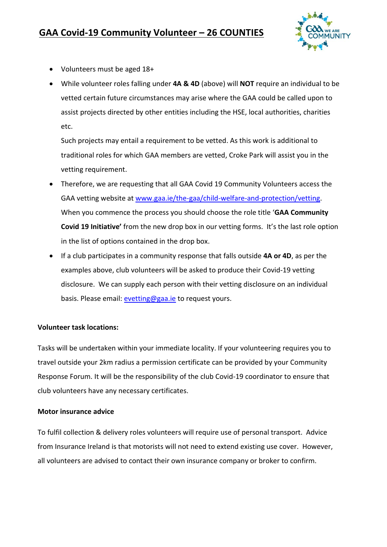

- Volunteers must be aged 18+
- While volunteer roles falling under **4A & 4D** (above) will **NOT** require an individual to be vetted certain future circumstances may arise where the GAA could be called upon to assist projects directed by other entities including the HSE, local authorities, charities etc.

Such projects may entail a requirement to be vetted. As this work is additional to traditional roles for which GAA members are vetted, Croke Park will assist you in the vetting requirement.

- Therefore, we are requesting that all GAA Covid 19 Community Volunteers access the GAA vetting website at [www.gaa.ie/the-gaa/child-welfare-and-protection/vetting.](http://www.gaa.ie/the-gaa/child-welfare-and-protection/vetting) When you commence the process you should choose the role title '**GAA Community Covid 19 Initiative'** from the new drop box in our vetting forms. It's the last role option in the list of options contained in the drop box.
- If a club participates in a community response that falls outside **4A or 4D**, as per the examples above, club volunteers will be asked to produce their Covid-19 vetting disclosure. We can supply each person with their vetting disclosure on an individual basis. Please email: [evetting@gaa.ie](mailto:evetting@gaa.ie) to request yours.

## **Volunteer task locations:**

Tasks will be undertaken within your immediate locality. If your volunteering requires you to travel outside your 2km radius a permission certificate can be provided by your Community Response Forum. It will be the responsibility of the club Covid-19 coordinator to ensure that club volunteers have any necessary certificates.

## **Motor insurance advice**

To fulfil collection & delivery roles volunteers will require use of personal transport. Advice from Insurance Ireland is that motorists will not need to extend existing use cover. However, all volunteers are advised to contact their own insurance company or broker to confirm.